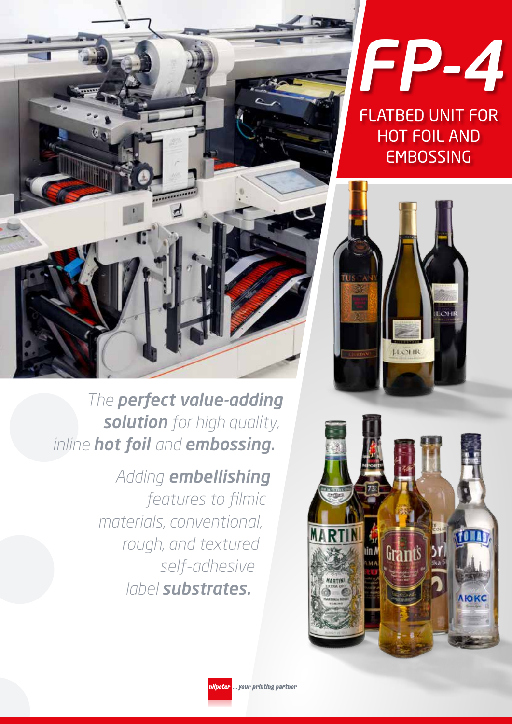

*The perfect value-adding solution for high quality, inline hot foil and embossing.*

## *Adding embellishing features to filmic materials, conventional, rough, and textured self-adhesive label substrates.*